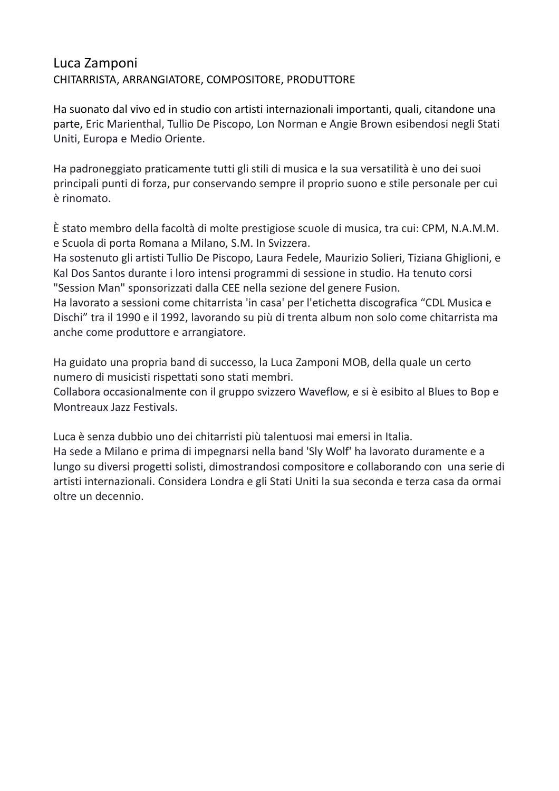## Luca Zamponi CHITARRISTA, ARRANGIATORE, COMPOSITORE, PRODUTTORE

Ha suonato dal vivo ed in studio con artisti internazionali importanti, quali, citandone una parte, Eric Marienthal, Tullio De Piscopo, Lon Norman e Angie Brown esibendosi negli Stati Uniti, Europa e Medio Oriente.

Ha padroneggiato praticamente tutti gli stili di musica e la sua versatilità è uno dei suoi principali punti di forza, pur conservando sempre il proprio suono e stile personale per cui è rinomato.

È stato membro della facoltà di molte prestigiose scuole di musica, tra cui: CPM, N.A.M.M. e Scuola di porta Romana a Milano, S.M. In Svizzera.

Ha sostenuto gli artisti Tullio De Piscopo, Laura Fedele, Maurizio Solieri, Tiziana Ghiglioni, e Kal Dos Santos durante i loro intensi programmi di sessione in studio. Ha tenuto corsi "Session Man" sponsorizzati dalla CEE nella sezione del genere Fusion.

Ha lavorato a sessioni come chitarrista 'in casa' per l'etichetta discografica "CDL Musica e Dischi" tra il 1990 e il 1992, lavorando su più di trenta album non solo come chitarrista ma anche come produttore e arrangiatore.

Ha guidato una propria band di successo, la Luca Zamponi MOB, della quale un certo numero di musicisti rispettati sono stati membri.

Collabora occasionalmente con il gruppo svizzero Waveflow, e si è esibito al Blues to Bop e Montreaux Jazz Festivals.

Luca è senza dubbio uno dei chitarristi più talentuosi mai emersi in Italia. Ha sede a Milano e prima di impegnarsi nella band 'Sly Wolf' ha lavorato duramente e a lungo su diversi progetti solisti, dimostrandosi compositore e collaborando con una serie di artisti internazionali. Considera Londra e gli Stati Uniti la sua seconda e terza casa da ormai oltre un decennio.